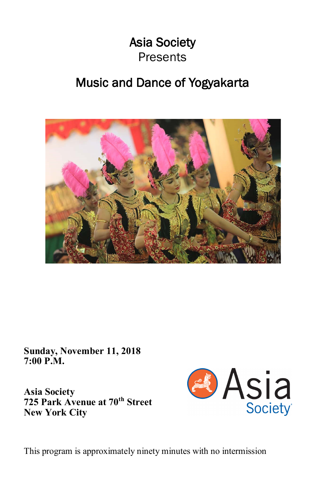# Asia Society Presents

# Music and Dance of Yogyakarta



**Sunday, November 11, 2018 7:00 P.M.**

**Asia Society 725 Park Avenue at 70th Street New York City**



This program is approximately ninety minutes with no intermission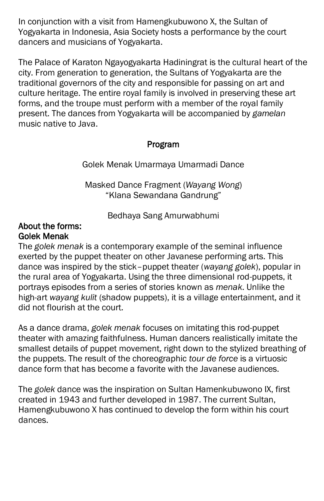In conjunction with a visit from Hamengkubuwono X, the Sultan of Yogyakarta in Indonesia, Asia Society hosts a performance by the court dancers and musicians of Yogyakarta.

The Palace of Karaton Ngayogyakarta Hadiningrat is the cultural heart of the city. From generation to generation, the Sultans of Yogyakarta are the traditional governors of the city and responsible for passing on art and culture heritage. The entire royal family is involved in preserving these art forms, and the troupe must perform with a member of the royal family present. The dances from Yogyakarta will be accompanied by *gamelan* music native to Java.

## Program

Golek Menak Umarmaya Umarmadi Dance

Masked Dance Fragment (*Wayang Wong*) "Klana Sewandana Gandrung"

Bedhaya Sang Amurwabhumi

#### About the forms: Golek Menak

The *golek menak* is a contemporary example of the seminal influence exerted by the puppet theater on other Javanese performing arts. This dance was inspired by the stick–puppet theater (*wayang golek*), popular in the rural area of Yogyakarta. Using the three dimensional rod-puppets, it portrays episodes from a series of stories known as *menak*. Unlike the high-art *wayang kulit* (shadow puppets), it is a village entertainment, and it did not flourish at the court.

As a dance drama, *golek menak* focuses on imitating this rod-puppet theater with amazing faithfulness. Human dancers realistically imitate the smallest details of puppet movement, right down to the stylized breathing of the puppets. The result of the choreographic *tour de force* is a virtuosic dance form that has become a favorite with the Javanese audiences.

The *golek* dance was the inspiration on Sultan Hamenkubuwono IX, first created in 1943 and further developed in 1987. The current Sultan, Hamengkubuwono X has continued to develop the form within his court dances.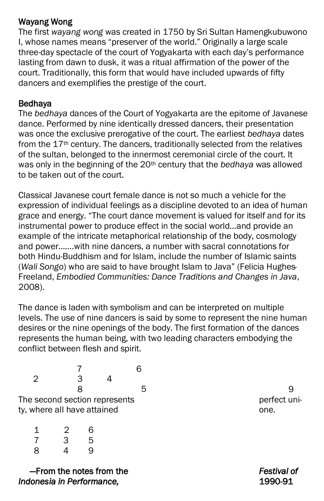## Wayang Wong

The first *wayang wong* was created in 1750 by Sri Sultan Hamengkubuwono I, whose names means "preserver of the world." Originally a large scale three-day spectacle of the court of Yogyakarta with each day's performance lasting from dawn to dusk, it was a ritual affirmation of the power of the court. Traditionally, this form that would have included upwards of fifty dancers and exemplifies the prestige of the court.

#### Bedhaya

The *bedhaya* dances of the Court of Yogyakarta are the epitome of Javanese dance. Performed by nine identically dressed dancers, their presentation was once the exclusive prerogative of the court. The earliest *bedhaya* dates from the 17th century. The dancers, traditionally selected from the relatives of the sultan, belonged to the innermost ceremonial circle of the court. It was only in the beginning of the 20th century that the *bedhaya* was allowed to be taken out of the court.

Classical Javanese court female dance is not so much a vehicle for the expression of individual feelings as a discipline devoted to an idea of human grace and energy. "The court dance movement is valued for itself and for its instrumental power to produce effect in the social world…and provide an example of the intricate metaphorical relationship of the body, cosmology and power…….with nine dancers, a number with sacral connotations for both Hindu-Buddhism and for Islam, include the number of Islamic saints (*Wali Songo*) who are said to have brought Islam to Java" (Felicia Hughes-Freeland, *Embodied Communities: Dance Traditions and Changes in Java*, 2008).

The dance is laden with symbolism and can be interpreted on multiple levels. The use of nine dancers is said by some to represent the nine human desires or the nine openings of the body. The first formation of the dances represents the human being, with two leading characters embodying the conflict between flesh and spirit.

| 2                             |   |   |  |   |  |              |
|-------------------------------|---|---|--|---|--|--------------|
|                               |   |   |  | b |  |              |
| The second section represents |   |   |  |   |  | perfect uni- |
| ty, where all have attained   |   |   |  |   |  | one.         |
| 1                             | 2 | 6 |  |   |  |              |
|                               | 3 | 5 |  |   |  |              |
| 8                             |   |   |  |   |  |              |
|                               |   |   |  |   |  |              |

 —From the notes from the *Festival of Indonesia in Performance,* 1990-91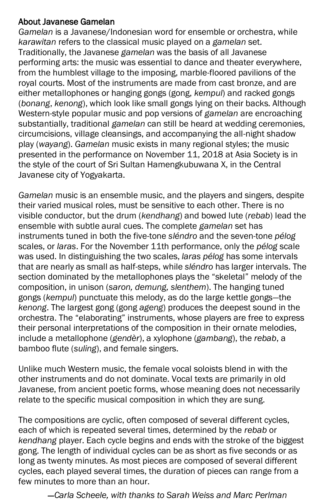#### About Javanese Gamelan

*Gamelan* is a Javanese/Indonesian word for ensemble or orchestra, while *karawitan* refers to the classical music played on a *gamelan* set. Traditionally, the Javanese *gamelan* was the basis of all Javanese performing arts: the music was essential to dance and theater everywhere, from the humblest village to the imposing, marble-floored pavilions of the royal courts. Most of the instruments are made from cast bronze, and are either metallophones or hanging gongs (gong, *kempul*) and racked gongs (*bonang*, *kenong*), which look like small gongs lying on their backs. Although Western-style popular music and pop versions of *gamelan* are encroaching substantially, traditional *gamelan* can still be heard at wedding ceremonies, circumcisions, village cleansings, and accompanying the all-night shadow play (*wayang*). *Gamelan* music exists in many regional styles; the music presented in the performance on November 11, 2018 at Asia Society is in the style of the court of Sri Sultan Hamengkubuwana X, in the Central Javanese city of Yogyakarta.

*Gamelan* music is an ensemble music, and the players and singers, despite their varied musical roles, must be sensitive to each other. There is no visible conductor, but the drum (*kendhang*) and bowed lute (*rebab*) lead the ensemble with subtle aural cues. The complete *gamelan* set has instruments tuned in both the five-tone *sléndro* and the seven-tone *pélog* scales, or *laras*. For the November 11th performance, only the *pélog* scale was used. In distinguishing the two scales, *laras pélog* has some intervals that are nearly as small as half-steps, while *sléndro* has larger intervals. The section dominated by the metallophones plays the "skeletal" melody of the composition, in unison (*saron, demung, slenthem*). The hanging tuned gongs (*kempul*) punctuate this melody, as do the large kettle gongs—the *kenong*. The largest gong (gong *ageng*) produces the deepest sound in the orchestra. The "elaborating" instruments, whose players are free to express their personal interpretations of the composition in their ornate melodies, include a metallophone (*gendèr*), a xylophone (*gambang*), the *rebab*, a bamboo flute (*suling*), and female singers.

Unlike much Western music, the female vocal soloists blend in with the other instruments and do not dominate. Vocal texts are primarily in old Javanese, from ancient poetic forms, whose meaning does not necessarily relate to the specific musical composition in which they are sung.

The compositions are cyclic, often composed of several different cycles, each of which is repeated several times, determined by the *rebab* or *kendhang* player. Each cycle begins and ends with the stroke of the biggest gong. The length of individual cycles can be as short as five seconds or as long as twenty minutes. As most pieces are composed of several different cycles, each played several times, the duration of pieces can range from a few minutes to more than an hour.

*—Carla Scheele, with thanks to Sarah Weiss and Marc Perlman*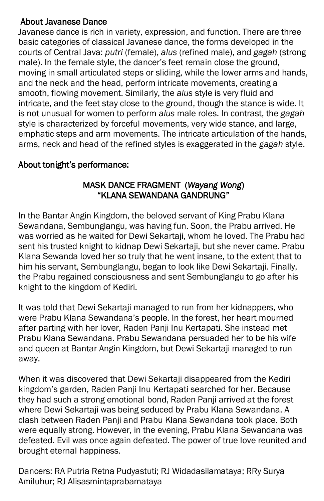### About Javanese Dance

Javanese dance is rich in variety, expression, and function. There are three basic categories of classical Javanese dance, the forms developed in the courts of Central Java: *putri* (female), *alus* (refined male), and *gagah* (strong male). In the female style, the dancer's feet remain close the ground, moving in small articulated steps or sliding, while the lower arms and hands, and the neck and the head, perform intricate movements, creating a smooth, flowing movement. Similarly, the *alus* style is very fluid and intricate, and the feet stay close to the ground, though the stance is wide. It is not unusual for women to perform *alus* male roles. In contrast, the *gagah* style is characterized by forceful movements, very wide stance, and large, emphatic steps and arm movements. The intricate articulation of the hands, arms, neck and head of the refined styles is exaggerated in the *gagah* style.

## About tonight's performance:

### MASK DANCE FRAGMENT (*Wayang Wong*) "KLANA SEWANDANA GANDRUNG"

In the Bantar Angin Kingdom, the beloved servant of King Prabu Klana Sewandana, Sembunglangu, was having fun. Soon, the Prabu arrived. He was worried as he waited for Dewi Sekartaji, whom he loved. The Prabu had sent his trusted knight to kidnap Dewi Sekartaji, but she never came. Prabu Klana Sewanda loved her so truly that he went insane, to the extent that to him his servant, Sembunglangu, began to look like Dewi Sekartaji. Finally, the Prabu regained consciousness and sent Sembunglangu to go after his knight to the kingdom of Kediri.

It was told that Dewi Sekartaji managed to run from her kidnappers, who were Prabu Klana Sewandana's people. In the forest, her heart mourned after parting with her lover, Raden Panji Inu Kertapati. She instead met Prabu Klana Sewandana. Prabu Sewandana persuaded her to be his wife and queen at Bantar Angin Kingdom, but Dewi Sekartaji managed to run away.

When it was discovered that Dewi Sekartaji disappeared from the Kediri kingdom's garden, Raden Panji Inu Kertapati searched for her. Because they had such a strong emotional bond, Raden Panji arrived at the forest where Dewi Sekartaji was being seduced by Prabu Klana Sewandana. A clash between Raden Panji and Prabu Klana Sewandana took place. Both were equally strong. However, in the evening, Prabu Klana Sewandana was defeated. Evil was once again defeated. The power of true love reunited and brought eternal happiness.

Dancers: RA Putria Retna Pudyastuti; RJ Widadasilamataya; RRy Surya Amiluhur; RJ Alisasmintaprabamataya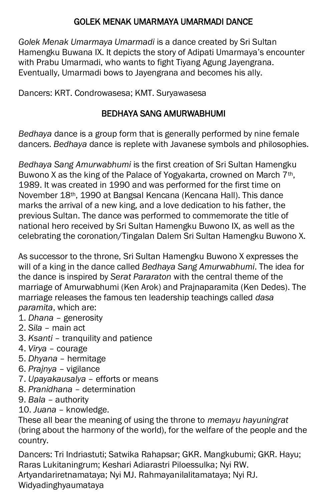## GOLEK MENAK UMARMAYA UMARMADI DANCE

*Golek Menak Umarmaya Umarmadi* is a dance created by Sri Sultan Hamengku Buwana IX. It depicts the story of Adipati Umarmaya's encounter with Prabu Umarmadi, who wants to fight Tiyang Agung Jayengrana. Eventually, Umarmadi bows to Jayengrana and becomes his ally.

Dancers: KRT. Condrowasesa; KMT. Suryawasesa

### BEDHAYA SANG AMURWABHUMI

*Bedhaya* dance is a group form that is generally performed by nine female dancers. *Bedhaya* dance is replete with Javanese symbols and philosophies.

*Bedhaya Sang Amurwabhumi* is the first creation of Sri Sultan Hamengku Buwono X as the king of the Palace of Yogyakarta, crowned on March 7<sup>th</sup>, 1989. It was created in 1990 and was performed for the first time on November 18th, 1990 at Bangsal Kencana (Kencana Hall). This dance marks the arrival of a new king, and a love dedication to his father, the previous Sultan. The dance was performed to commemorate the title of national hero received by Sri Sultan Hamengku Buwono IX, as well as the celebrating the coronation/Tingalan Dalem Sri Sultan Hamengku Buwono X.

As successor to the throne, Sri Sultan Hamengku Buwono X expresses the will of a king in the dance called *Bedhaya Sang Amurwabhumi*. The idea for the dance is inspired by *Serat Pararaton* with the central theme of the marriage of Amurwabhumi (Ken Arok) and Prajnaparamita (Ken Dedes). The marriage releases the famous ten leadership teachings called *dasa paramita*, which are:

- 1. *Dhana* generosity
- 2. *Sila* main act
- 3. *Ksanti* tranquility and patience
- 4. *Virya* courage
- 5. *Dhyana* hermitage
- 6. *Prajnya* vigilance
- 7. *Upayakausalya* efforts or means
- 8. *Pranidhana* determination
- 9. *Bala* authority

10. *Juana* – knowledge.

These all bear the meaning of using the throne to *memayu hayuningrat* (bring about the harmony of the world), for the welfare of the people and the country.

Dancers: Tri Indriastuti; Satwika Rahapsar; GKR. Mangkubumi; GKR. Hayu; Raras Lukitaningrum; Keshari Adiarastri Piloessulka; Nyi RW. Artyandariretnamataya; Nyi MJ. Rahmayanilalitamataya; Nyi RJ. Widyadinghyaumataya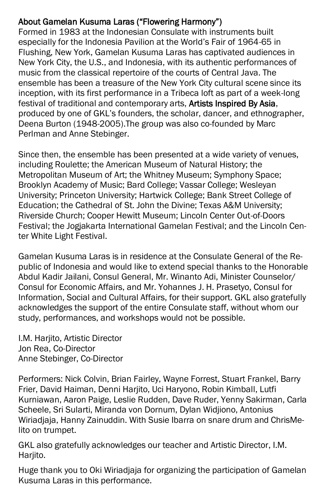# About Gamelan Kusuma Laras ("Flowering Harmony")

Formed in 1983 at the Indonesian Consulate with instruments built especially for the Indonesia Pavilion at the World's Fair of 1964-65 in Flushing, New York, Gamelan Kusuma Laras has captivated audiences in New York City, the U.S., and Indonesia, with its authentic performances of music from the classical repertoire of the courts of Central Java. The ensemble has been a treasure of the New York City cultural scene since its inception, with its first performance in a Tribeca loft as part of a week-long festival of traditional and contemporary arts, **Artists Inspired By Asia**, produced by one of GKL's founders, the scholar, dancer, and ethnographer, Deena Burton (1948-2005).The group was also co-founded by Marc Perlman and Anne Stebinger.

Since then, the ensemble has been presented at a wide variety of venues, including Roulette; the American Museum of Natural History; the Metropolitan Museum of Art; the Whitney Museum; Symphony Space; Brooklyn Academy of Music; Bard College; Vassar College; Wesleyan University; Princeton University; Hartwick College; Bank Street College of Education; the Cathedral of St. John the Divine; Texas A&M University; Riverside Church; Cooper Hewitt Museum; Lincoln Center Out-of-Doors Festival; the Jogjakarta International Gamelan Festival; and the Lincoln Center White Light Festival.

Gamelan Kusuma Laras is in residence at the Consulate General of the Republic of Indonesia and would like to extend special thanks to the Honorable Abdul Kadir Jailani, Consul General, Mr. Winanto Adi, Minister Counselor/ Consul for Economic Affairs, and Mr. Yohannes J. H. Prasetyo, Consul for Information, Social and Cultural Affairs, for their support. GKL also gratefully acknowledges the support of the entire Consulate staff, without whom our study, performances, and workshops would not be possible.

I.M. Hariito. Artistic Director Jon Rea, Co-Director Anne Stebinger, Co-Director

Performers: Nick Colvin, Brian Fairley, Wayne Forrest, Stuart Frankel, Barry Frier, David Haiman, Denni Harjito, Uci Haryono, Robin Kimball, Lutfi Kurniawan, Aaron Paige, Leslie Rudden, Dave Ruder, Yenny Sakirman, Carla Scheele, Sri Sularti, Miranda von Dornum, Dylan Widjiono, Antonius Wiriadjaja, Hanny Zainuddin. With Susie Ibarra on snare drum and ChrisMelito on trumpet.

GKL also gratefully acknowledges our teacher and Artistic Director, I.M. Harjito.

Huge thank you to Oki Wiriadjaja for organizing the participation of Gamelan Kusuma Laras in this performance.